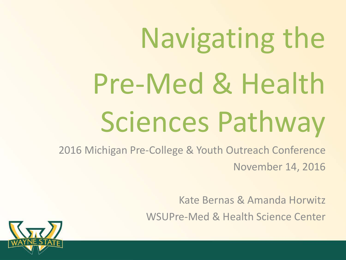# Navigating the Pre-Med & Health Sciences Pathway

2016 Michigan Pre-College & Youth Outreach Conference November 14, 2016

Kate Bernas & Amanda Horwitz

WSUPre-Med & Health Science Center

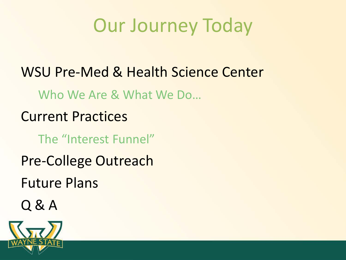### Our Journey Today

WSU Pre-Med & Health Science Center Who We Are & What We Do… Current Practices The "Interest Funnel" Pre-College Outreach Future Plans Q & A

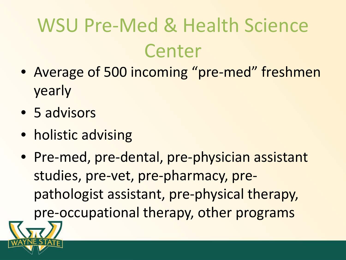## WSU Pre-Med & Health Science Center

- Average of 500 incoming "pre-med" freshmen yearly
- 5 advisors
- holistic advising
- Pre-med, pre-dental, pre-physician assistant studies, pre-vet, pre-pharmacy, prepathologist assistant, pre-physical therapy, pre-occupational therapy, other programs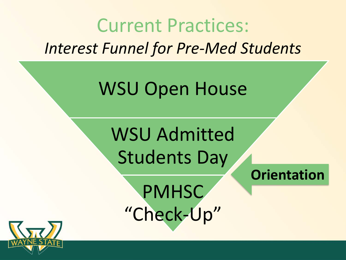



PMHSC "Check-Up"

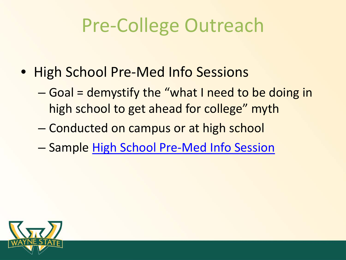## Pre-College Outreach

- High School Pre-Med Info Sessions
	- – Goal = demystify the "what I need to be doing in high school to get ahead for college" myth
	- Conducted on campus or at high school
	- Sample [High School Pre-Med Info Session](http://prezi.com/a5k9efqw0fwa/?utm_campaign=share&utm_medium=copy&rc=ex0share)

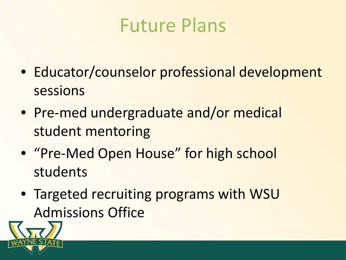#### Future Plans

- Educator/counselor professional development sessions
- Pre-med undergraduate and/or medical student mentoring
- "Pre-Med Open House" for high school students
- Targeted recruiting programs with WSU Admissions Office